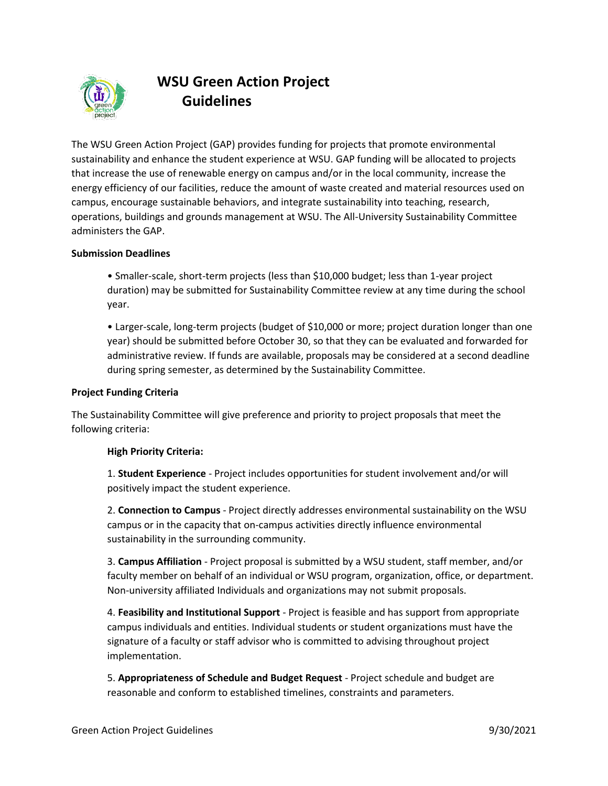

# **WSU Green Action Project Guidelines**

The WSU Green Action Project (GAP) provides funding for projects that promote environmental sustainability and enhance the student experience at WSU. GAP funding will be allocated to projects that increase the use of renewable energy on campus and/or in the local community, increase the energy efficiency of our facilities, reduce the amount of waste created and material resources used on campus, encourage sustainable behaviors, and integrate sustainability into teaching, research, operations, buildings and grounds management at WSU. The All-University Sustainability Committee administers the GAP.

# **Submission Deadlines**

• Smaller-scale, short-term projects (less than \$10,000 budget; less than 1-year project duration) may be submitted for Sustainability Committee review at any time during the school year.

• Larger-scale, long-term projects (budget of \$10,000 or more; project duration longer than one year) should be submitted before October 30, so that they can be evaluated and forwarded for administrative review. If funds are available, proposals may be considered at a second deadline during spring semester, as determined by the Sustainability Committee.

#### **Project Funding Criteria**

The Sustainability Committee will give preference and priority to project proposals that meet the following criteria:

#### **High Priority Criteria:**

1. **Student Experience** - Project includes opportunities for student involvement and/or will positively impact the student experience.

2. **Connection to Campus** - Project directly addresses environmental sustainability on the WSU campus or in the capacity that on-campus activities directly influence environmental sustainability in the surrounding community.

3. **Campus Affiliation** - Project proposal is submitted by a WSU student, staff member, and/or faculty member on behalf of an individual or WSU program, organization, office, or department. Non-university affiliated Individuals and organizations may not submit proposals.

4. **Feasibility and Institutional Support** - Project is feasible and has support from appropriate campus individuals and entities. Individual students or student organizations must have the signature of a faculty or staff advisor who is committed to advising throughout project implementation.

5. **Appropriateness of Schedule and Budget Request** - Project schedule and budget are reasonable and conform to established timelines, constraints and parameters.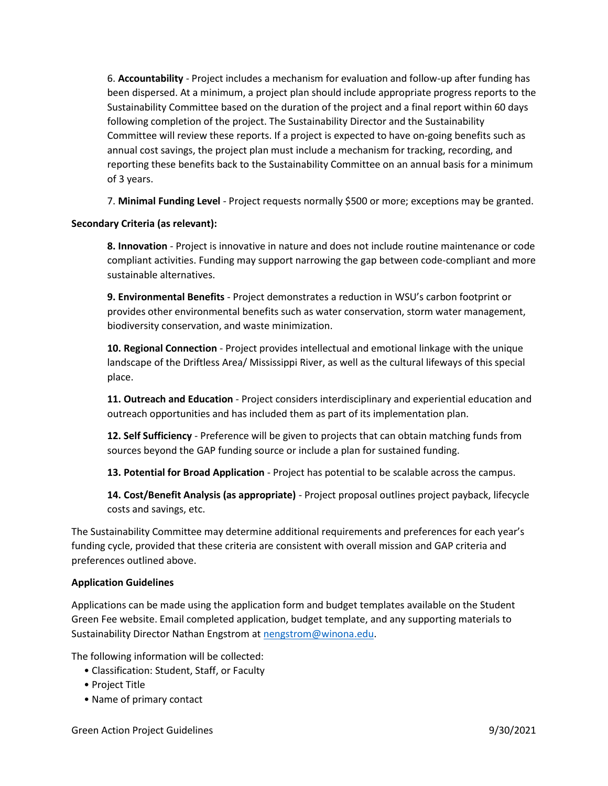6. **Accountability** - Project includes a mechanism for evaluation and follow-up after funding has been dispersed. At a minimum, a project plan should include appropriate progress reports to the Sustainability Committee based on the duration of the project and a final report within 60 days following completion of the project. The Sustainability Director and the Sustainability Committee will review these reports. If a project is expected to have on-going benefits such as annual cost savings, the project plan must include a mechanism for tracking, recording, and reporting these benefits back to the Sustainability Committee on an annual basis for a minimum of 3 years.

7. **Minimal Funding Level** - Project requests normally \$500 or more; exceptions may be granted.

# **Secondary Criteria (as relevant):**

**8. Innovation** - Project is innovative in nature and does not include routine maintenance or code compliant activities. Funding may support narrowing the gap between code-compliant and more sustainable alternatives.

**9. Environmental Benefits** - Project demonstrates a reduction in WSU's carbon footprint or provides other environmental benefits such as water conservation, storm water management, biodiversity conservation, and waste minimization.

**10. Regional Connection** - Project provides intellectual and emotional linkage with the unique landscape of the Driftless Area/ Mississippi River, as well as the cultural lifeways of this special place.

**11. Outreach and Education** - Project considers interdisciplinary and experiential education and outreach opportunities and has included them as part of its implementation plan.

**12. Self Sufficiency** - Preference will be given to projects that can obtain matching funds from sources beyond the GAP funding source or include a plan for sustained funding.

**13. Potential for Broad Application** - Project has potential to be scalable across the campus.

**14. Cost/Benefit Analysis (as appropriate)** - Project proposal outlines project payback, lifecycle costs and savings, etc.

The Sustainability Committee may determine additional requirements and preferences for each year's funding cycle, provided that these criteria are consistent with overall mission and GAP criteria and preferences outlined above.

#### **Application Guidelines**

Applications can be made using the application form and budget templates available on the Student Green Fee website. Email completed application, budget template, and any supporting materials to Sustainability Director Nathan Engstrom at [nengstrom@winona.edu.](mailto:nengstrom@winona.edu)

The following information will be collected:

- Classification: Student, Staff, or Faculty
- Project Title
- Name of primary contact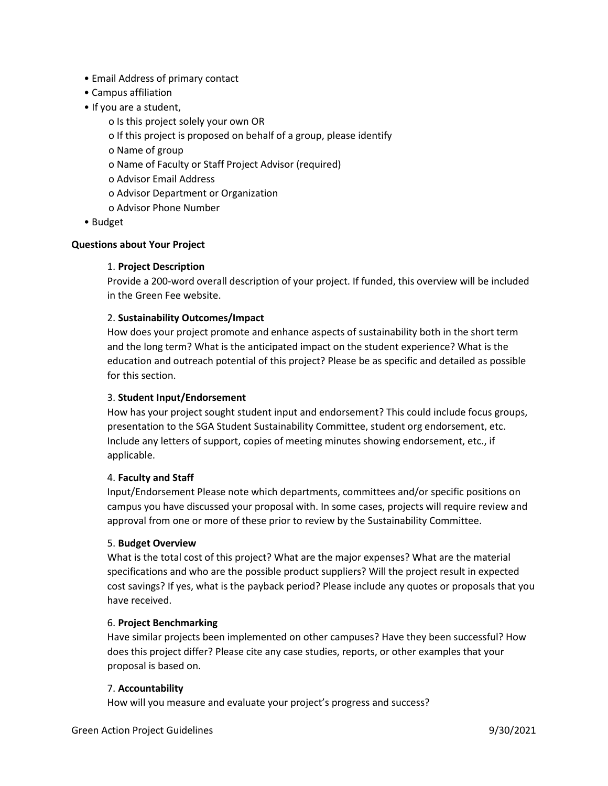- Email Address of primary contact
- Campus affiliation
- If you are a student,
	- o Is this project solely your own OR
	- o If this project is proposed on behalf of a group, please identify
	- o Name of group
	- o Name of Faculty or Staff Project Advisor (required)
	- o Advisor Email Address
	- o Advisor Department or Organization
	- o Advisor Phone Number
- Budget

#### **Questions about Your Project**

#### 1. **Project Description**

Provide a 200-word overall description of your project. If funded, this overview will be included in the Green Fee website.

# 2. **Sustainability Outcomes/Impact**

How does your project promote and enhance aspects of sustainability both in the short term and the long term? What is the anticipated impact on the student experience? What is the education and outreach potential of this project? Please be as specific and detailed as possible for this section.

#### 3. **Student Input/Endorsement**

How has your project sought student input and endorsement? This could include focus groups, presentation to the SGA Student Sustainability Committee, student org endorsement, etc. Include any letters of support, copies of meeting minutes showing endorsement, etc., if applicable.

# 4. **Faculty and Staff**

Input/Endorsement Please note which departments, committees and/or specific positions on campus you have discussed your proposal with. In some cases, projects will require review and approval from one or more of these prior to review by the Sustainability Committee.

# 5. **Budget Overview**

What is the total cost of this project? What are the major expenses? What are the material specifications and who are the possible product suppliers? Will the project result in expected cost savings? If yes, what is the payback period? Please include any quotes or proposals that you have received.

#### 6. **Project Benchmarking**

Have similar projects been implemented on other campuses? Have they been successful? How does this project differ? Please cite any case studies, reports, or other examples that your proposal is based on.

#### 7. **Accountability**

How will you measure and evaluate your project's progress and success?